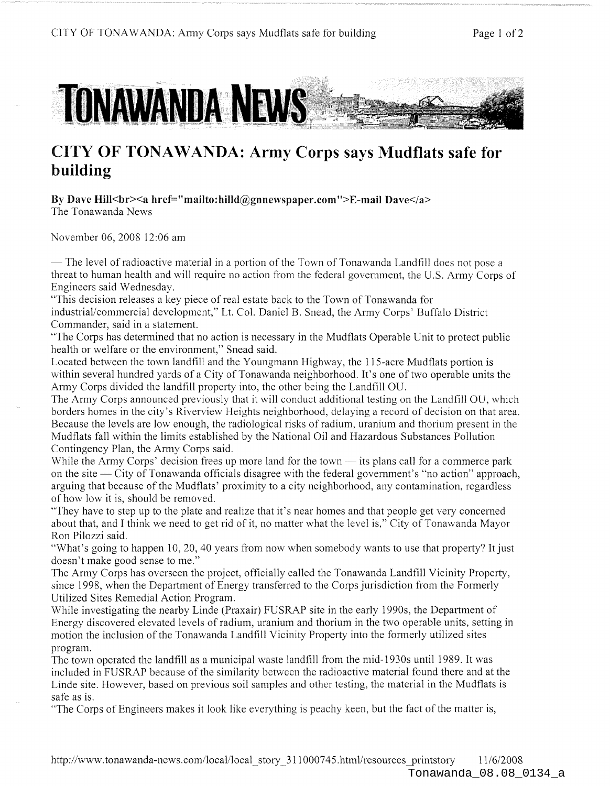

## **CITY OF TONAWANDA: Army Corps says Mudflats safe for building**

By Dave Hill<br>>>br><a href="mailto:hilld@gnnewspaper.com">E-mail Dave</a> The Tonawanda News

November 06, 2008 12:06 am

— The level of radioactive material in a portion of the Town of Tonawanda Landfill does not pose a threat to human health and will require no action from the federal government, the U.S. Army Corps of Engineers said Wednesday.

"This decision releases a key piece of real estate back to the Town of Tonawanda for industrial/commercial development," Lt. Col. Daniel B. Snead, the Army Corps' Buffalo District Commander, said in a statement.

"The Corps has determined that no action is necessary in the Mudflats Operable Unit to protect public health or welfare or the environment," Snead said.

Located between the town landfill and the Youngmann Highway, the 115-acre Mudflats portion is within several hundred yards of a City of Tonawanda neighborhood. It's one of two operable units the Army Corps divided the landfill property into, the other being the Landfill OU.

The Army Corps announced previously that it will conduct additional testing on the Landfill OU, which borders homes in the city's Riverview Heights neighborhood, delaying a record of decision on that area. Because the levels are low enough, the radiological risks of radium, uranium and thorium present in the Mudflats fall within the limits established by the National Oil and Hazardous Substances Pollution Contingency Plan, the Army Corps said.

While the Army Corps' decision frees up more land for the town  $-$  its plans call for a commerce park on the site City of Tonawanda officials disagree with the federal govemment's "no action" approach, arguing that because of the Mudflats' proximity to a city neighborhood, any contamination, regardless of how low it is, should be removed.

"They have to step up to the plate and realize that it's near homes and that people get very concemed about that, and I think we need to get rid of it, no matter what the level is," City of Tonawanda Mayor Ron Pilozzi said.

"What's going to happen 10, 20,40 years from now when somebody wants to use that property? It just doesn't make good sense to me."

The Army Corps has overseen the project, officially called the Tonawanda Landfill Vicinity Property, since 1998, when the Department of Energy transferred to the Corps jurisdiction from the Formerly Utilized Sites Remedial Action Program.

While investigating the nearby Linde (Praxair) FUSRAP site in the early 1990s, the Department of Energy discovered elevated levels of radium, uranium and thorium in the two operable units, setting in motion the inclusion of the Tonawanda Landfill Vicinity Property into the formerly utilized sites program.

The town operated the landfill as a municipal waste landfill from the mid-1930s until 1989. It was included in FUSRAP because of the similarity between the radioactive material found there and at the Linde site. However, based on previous soil samples and other testing, the material in the Mudflats is safe as is.

"The Corps of Engineers makes it look like everything is peachy keen, but the fact of the matter is,